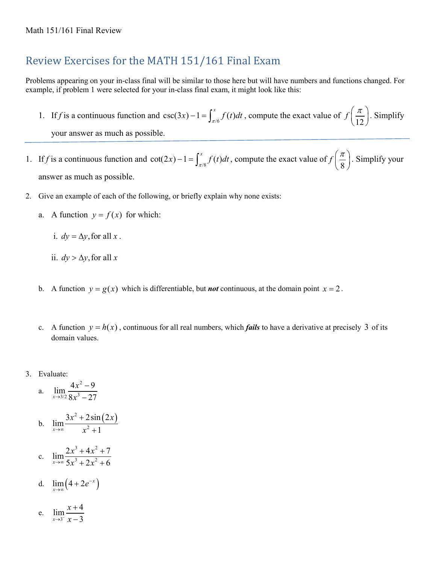# Review Exercises for the MATH 151/161 Final Exam

Problems appearing on your in-class final will be similar to those here but will have numbers and functions changed. For example, if problem 1 were selected for your in-class final exam, it might look like this:

- 1. If *f* is a continuous function and  $\csc(3x) 1 = \int_{\pi/6}^{x} f(t) dt$ , compute the exact value of  $f\left(\frac{\pi}{12}\right)$ . Simplify your answer as much as possible.
- 1. If *f* is a continuous function and  $\cot(2x) 1 = \int_{\pi/8}^{x} f(t) dt$ , compute the exact value of  $f\left(\frac{\pi}{8}\right)$ . Simplify your answer as much as possible.
- 2. Give an example of each of the following, or briefly explain why none exists:
	- a. A function  $y = f(x)$  for which:
		- i.  $dy = \Delta y$ , for all x.
		- ii.  $dy > \Delta y$ , for all x
	- b. A function  $y = g(x)$  which is differentiable, but *not* continuous, at the domain point  $x = 2$ .
	- c. A function  $y = h(x)$ , continuous for all real numbers, which *fails* to have a derivative at precisely 3 of its domain values.
- 3. Evaluate:
	- a. 2  $\lim_{x\to 3/2} \frac{4x^2-9}{8x^3-27}$  $\rightarrow$ 3/2  $8x$ − −
	- b.  $\lim_{x \to \infty} \frac{3x^2 + 2\sin(2x)}{x^2 + 1}$ →∞ *x* + +
	- c.  $3 + 1x^2$  $\lim_{x\to\infty}\frac{2x^3+4x^2+7}{5x^3+2x^2+6}$  $\rightarrow \infty$  5x<sup>3</sup> + 2x  $+4x^2 +$  $+ 2x^2 +$
	- d.  $\lim_{x \to \infty} (4 + 2e^{-x})$
	- e.  $\lim_{x \to 3^{-}} \frac{x+4}{x-3}$  $x \rightarrow 3^{-} x - 3$ *x*  $\rightarrow$ <sup>3-</sup>  $\chi$ + −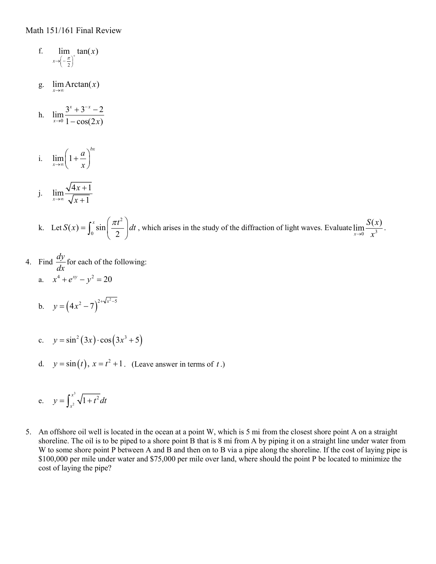- f.  $x \rightarrow \left(-\frac{\pi}{2}\right)^{+}$  $\lim$   $\tan(x)$
- g.  $\lim_{x\to\infty}$  Arctan(*x*)
- h.  $\lim_{x\to 0} \frac{3^x + 3^{-x} 2}{1 \cos(2x)}$  $1 - \cos(2x)$  $x + 2^{-x}$  $\lim_{x\to 0} 1 - \cos(2x)$ − →  $+3^{-x}-$ −
- i.  $\lim |1$ *bx x a*  $\lim_{x \to \infty} \left(1 + \frac{a}{x}\right)$
- j.  $\lim \frac{\sqrt{4x+1}}{2}$  $x \rightarrow \infty$   $\sqrt{x+1}$ *x* →∞ *x* + +
- k. Let 2  $S(x) = \int_0^x \sin\left(\frac{\pi t^2}{2}\right) dt$ , which arises in the study of the diffraction of light waves. Evaluate  $\lim_{x\to 0} \frac{S(x)}{x^3}$  $\lim_{x\to 0} \frac{\partial^2 (x)}{x^3}.$
- 4. Find  $\frac{dy}{dx}$  $\frac{dy}{dx}$  for each of the following: a.  $x^4 + e^{xy} - y^2 = 20$ 
	- b.  $y = (4x^2 7)^{2+\sqrt{x^2-5}}$
	- c.  $y = \sin^2(3x) \cdot \cos(3x^3 + 5)$
	- d.  $y = \sin(t)$ ,  $x = t^2 + 1$ . (Leave answer in terms of *t*.)

e. 
$$
y = \int_{x^2}^{x^3} \sqrt{1 + t^2} dt
$$

5. An offshore oil well is located in the ocean at a point W, which is 5 mi from the closest shore point A on a straight shoreline. The oil is to be piped to a shore point B that is 8 mi from A by piping it on a straight line under water from W to some shore point P between A and B and then on to B via a pipe along the shoreline. If the cost of laying pipe is \$100,000 per mile under water and \$75,000 per mile over land, where should the point P be located to minimize the cost of laying the pipe?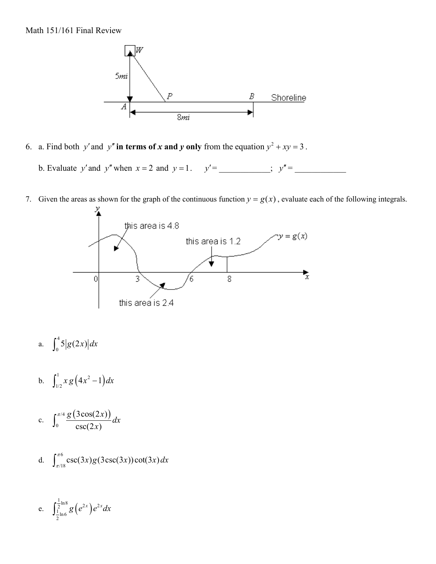

6. a. Find both *y'* and *y''* in terms of *x* and *y* only from the equation  $y^2 + xy = 3$ .

b. Evaluate *y*′and *y*′′when *x* = 2 and *y* = 1. *y*′= \_\_\_\_\_\_\_\_\_\_\_\_; *y*′′= \_\_\_\_\_\_\_\_\_\_\_\_

7. Given the areas as shown for the graph of the continuous function  $y = g(x)$ , evaluate each of the following integrals.



- a.  $\int_0^4 5|g(2x)|dx$
- b.  $\int_{1/2}^{1} x g (4x^2 1) dx$
- c.  $\int_{0}^{\pi/4} \frac{g(3\cos(2x))}{x^2}$  $\boldsymbol{0}$  $3\cos(2x)$  $csc(2x)$  $\frac{g(3\cos(2x))}{g(x)}dx$ *x*  $\int_0^{\pi}$
- d.  $\int_{\pi/18}^{\pi/6} \csc(3x) g(3\csc(3x)) \cot(3x) dx$

e. 
$$
\int_{\frac{1}{2}\ln 6}^{\frac{1}{2}\ln 8} g(e^{2x}) e^{2x} dx
$$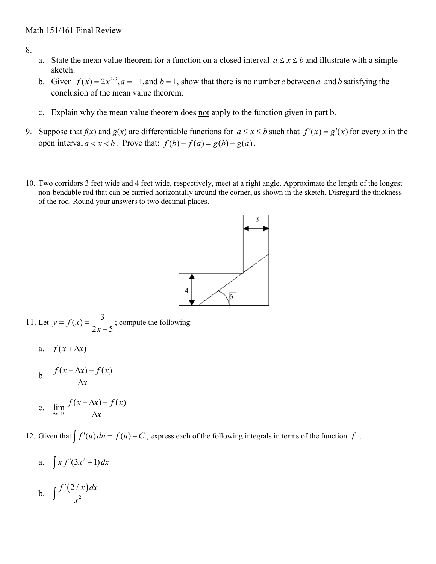8.

- a. State the mean value theorem for a function on a closed interval  $a \le x \le b$  and illustrate with a simple sketch.
- b. Given  $f(x) = 2x^{2/3}, a = -1$ , and  $b = 1$ , show that there is no number *c* between *a* and *b* satisfying the conclusion of the mean value theorem.
- c. Explain why the mean value theorem does not apply to the function given in part b.
- 9. Suppose that  $f(x)$  and  $g(x)$  are differentiable functions for  $a \le x \le b$  such that  $f'(x) = g'(x)$  for every x in the open interval  $a < x < b$ . Prove that:  $f(b) - f(a) = g(b) - g(a)$ .
- 10. Two corridors 3 feet wide and 4 feet wide, respectively, meet at a right angle. Approximate the length of the longest non-bendable rod that can be carried horizontally around the corner, as shown in the sketch. Disregard the thickness of the rod. Round your answers to two decimal places.



11. Let 
$$
y = f(x) = \frac{3}{2x - 5}
$$
; compute the following:

a. 
$$
f(x + \Delta x)
$$

b. 
$$
\frac{f(x + \Delta x) - f(x)}{\Delta x}
$$

c. 
$$
\lim_{\Delta x \to 0} \frac{f(x + \Delta x) - f(x)}{\Delta x}
$$

12. Given that  $\int f'(u) du = f(u) + C$ , express each of the following integrals in terms of the function  $f$ .

a. 
$$
\int x f'(3x^2 + 1) dx
$$
  
b. 
$$
\int \frac{f'(2/x) dx}{x^2}
$$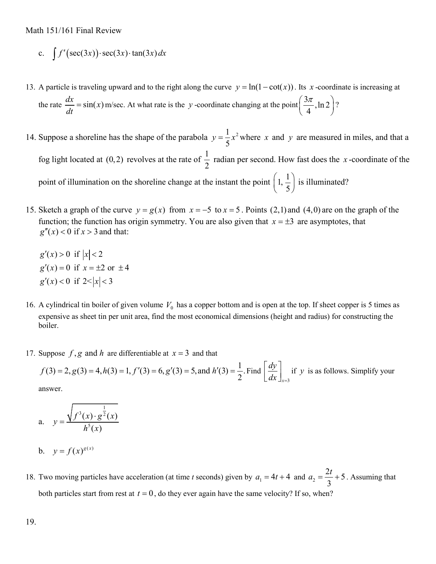c. 
$$
\int f'(\sec(3x)) \cdot \sec(3x) \cdot \tan(3x) dx
$$

- 13. A particle is traveling upward and to the right along the curve  $y = ln(1 cot(x))$ . Its *x* -coordinate is increasing at the rate  $\frac{dx}{dt} = \sin(x)$  m/sec. At what rate is the *y* -coordinate changing at the point  $\left(\frac{3\pi}{4}, \ln 2\right)$ ?
- 14. Suppose a shoreline has the shape of the parabola  $y = \frac{1}{5}x^2$  where *x* and *y* are measured in miles, and that a fog light located at (0,2) revolves at the rate of  $\frac{1}{2}$ 2 radian per second. How fast does the *x* -coordinate of the point of illumination on the shoreline change at the instant the point  $\left(1, \frac{1}{5}\right)$  is illuminated?
- 15. Sketch a graph of the curve  $y = g(x)$  from  $x = -5$  to  $x = 5$ . Points (2,1) and (4,0) are on the graph of the function; the function has origin symmetry. You are also given that  $x = \pm 3$  are asymptotes, that  $g''(x) < 0$  if  $x > 3$  and that:
	- $g'(x) > 0$  if  $|x| < 2$  $g'(x) = 0$  if  $x = \pm 2$  or  $\pm 4$  $g'(x) < 0$  if  $2 < |x| < 3$
- 16. A cylindrical tin boiler of given volume  $V_0$  has a copper bottom and is open at the top. If sheet copper is 5 times as expensive as sheet tin per unit area, find the most economical dimensions (height and radius) for constructing the boiler.
- 17. Suppose  $f$ ,  $g$  and  $h$  are differentiable at  $x = 3$  and that

$$
f(3) = 2, g(3) = 4, h(3) = 1, f'(3) = 6, g'(3) = 5, \text{and } h'(3) = \frac{1}{2}. \text{Find } \left[ \frac{dy}{dx} \right]_{x=3} \text{ if } y \text{ is as follows. Simplify your}
$$

answer.

a. 
$$
y = \frac{\sqrt{f^3(x) \cdot g^{\frac{1}{2}}(x)}}{h^5(x)}
$$
  
b.  $y = f(x)^{g(x)}$ 

18. Two moving particles have acceleration (at time *t* seconds) given by  $a_1 = 4t + 4$  and  $a_2 = \frac{2t}{2} + 5$ 3  $a_2 = \frac{2t}{2} + 5$ . Assuming that both particles start from rest at  $t = 0$ , do they ever again have the same velocity? If so, when?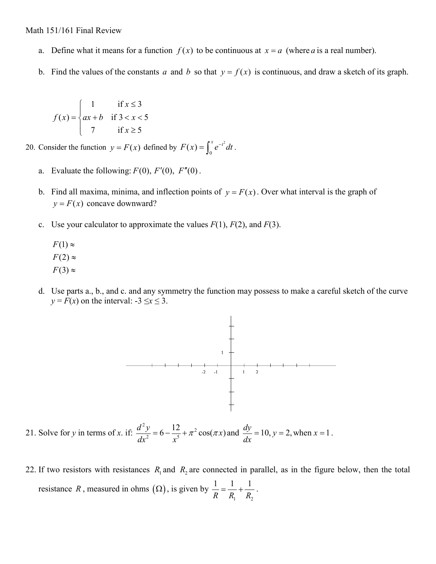- a. Define what it means for a function  $f(x)$  to be continuous at  $x = a$  (where a is a real number).
- b. Find the values of the constants *a* and *b* so that  $y = f(x)$  is continuous, and draw a sketch of its graph.

$$
f(x) = \begin{cases} 1 & \text{if } x \le 3\\ ax + b & \text{if } 3 < x < 5\\ 7 & \text{if } x \ge 5 \end{cases}
$$

- 20. Consider the function  $y = F(x)$  defined by  $F(x) = \int_0^x e^{-t^2} dt$ .
	- a. Evaluate the following:  $F(0)$ ,  $F'(0)$ ,  $F''(0)$ .
	- b. Find all maxima, minima, and inflection points of  $y = F(x)$ . Over what interval is the graph of  $y = F(x)$  concave downward?
	- c. Use your calculator to approximate the values  $F(1)$ ,  $F(2)$ , and  $F(3)$ .
		- $F(1) \approx$  $F(2) \approx$  $F(3) \approx$
	- d. Use parts a., b., and c. and any symmetry the function may possess to make a careful sketch of the curve  $y = F(x)$  on the interval:  $-3 \le x \le 3$ .



21. Solve for *y* in terms of *x*. if:  $2y - 6$  12  $\frac{d^2y}{dx^2} = 6 - \frac{12}{x^5} + \pi^2 \cos(\pi x)$  $\frac{d^2y}{dx^2} = 6 - \frac{12}{x^5} + \pi^2 \cos(\pi x)$  and  $\frac{dy}{dx} = 10$ ,  $y = 2$ , when  $x = 1$ .

22. If two resistors with resistances  $R_1$  and  $R_2$  are connected in parallel, as in the figure below, then the total resistance *R*, measured in ohms  $(\Omega)$ , is given by  $\mathbf{1}$   $\mathbf{1}$   $\mathbf{2}$  $1 \quad 1 \quad 1$ *RR R*  $=\frac{1}{R} + \frac{1}{R}$ .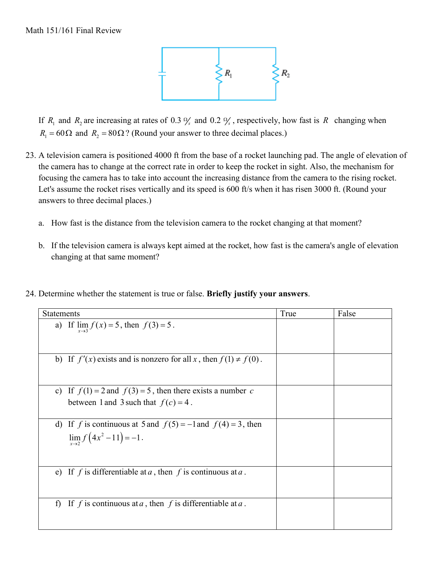

If  $R_1$  and  $R_2$  are increasing at rates of 0.3  $\frac{9}{5}$  and 0.2  $\frac{9}{5}$ , respectively, how fast is  $R$  changing when  $R_1 = 60 \Omega$  and  $R_2 = 80 \Omega$ ? (Round your answer to three decimal places.)

- 23. A television camera is positioned 4000 ft from the base of a rocket launching pad. The angle of elevation of the camera has to change at the correct rate in order to keep the rocket in sight. Also, the mechanism for focusing the camera has to take into account the increasing distance from the camera to the rising rocket. Let's assume the rocket rises vertically and its speed is 600 ft/s when it has risen 3000 ft. (Round your answers to three decimal places.)
	- a. How fast is the distance from the television camera to the rocket changing at that moment?
	- b. If the television camera is always kept aimed at the rocket, how fast is the camera's angle of elevation changing at that same moment?
- 24. Determine whether the statement is true or false. **Briefly justify your answers**.

| <b>Statements</b>                                                       | True | False |
|-------------------------------------------------------------------------|------|-------|
| a) If $\lim_{x \to 3} f(x) = 5$ , then $f(3) = 5$ .                     |      |       |
| b) If $f'(x)$ exists and is nonzero for all x, then $f(1) \neq f(0)$ .  |      |       |
| c) If $f(1) = 2$ and $f(3) = 5$ , then there exists a number c          |      |       |
| between 1 and 3 such that $f(c) = 4$ .                                  |      |       |
| d) If f is continuous at 5 and $f(5) = -1$ and $f(4) = 3$ , then        |      |       |
| $\lim_{x \to 2} f(4x^2 - 11) = -1$ .                                    |      |       |
| e) If f is differentiable at a, then f is continuous at a.              |      |       |
| If f is continuous at a, then f is differentiable at a.<br>$\mathbf{f}$ |      |       |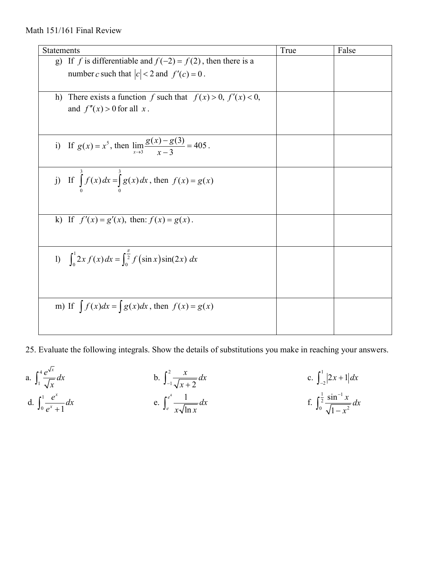| Statements                                                                    | True | False |
|-------------------------------------------------------------------------------|------|-------|
| If f is differentiable and $f(-2) = f(2)$ , then there is a<br>g)             |      |       |
| number c such that $ c  < 2$ and $f'(c) = 0$ .                                |      |       |
|                                                                               |      |       |
| h) There exists a function f such that $f(x) > 0$ , $f'(x) < 0$ ,             |      |       |
| and $f''(x) > 0$ for all x.                                                   |      |       |
|                                                                               |      |       |
|                                                                               |      |       |
| i) If $g(x) = x^5$ , then $\lim_{x \to 3} \frac{g(x) - g(3)}{x - 3} = 405$ .  |      |       |
|                                                                               |      |       |
|                                                                               |      |       |
| j) If $\int_{0}^{x} f(x) dx = \int_{0}^{x} g(x) dx$ , then $f(x) = g(x)$      |      |       |
|                                                                               |      |       |
|                                                                               |      |       |
|                                                                               |      |       |
| k) If $f'(x) = g'(x)$ , then: $f(x) = g(x)$ .                                 |      |       |
|                                                                               |      |       |
|                                                                               |      |       |
| 1) $\int_{0}^{1} 2x f(x) dx = \int_{0}^{\frac{\pi}{2}} f(\sin x) \sin(2x) dx$ |      |       |
|                                                                               |      |       |
|                                                                               |      |       |
|                                                                               |      |       |
| m) If $\int f(x)dx = \int g(x)dx$ , then $f(x) = g(x)$                        |      |       |
|                                                                               |      |       |
|                                                                               |      |       |

25. Evaluate the following integrals. Show the details of substitutions you make in reaching your answers.

a. 
$$
\int_{1}^{4} \frac{e^{\sqrt{x}}}{\sqrt{x}} dx
$$
  
b.  $\int_{-1}^{2} \frac{x}{\sqrt{x+2}} dx$   
c.  $\int_{-2}^{1} |2x + 1| dx$   
d.  $\int_{0}^{1} \frac{e^{x}}{e^{x} + 1} dx$   
e.  $\int_{e}^{e^{4}} \frac{1}{x \sqrt{\ln x}} dx$   
f.  $\int_{0}^{\frac{1}{2}} \frac{\sin^{-1} x}{\sqrt{1 - x^{2}}} dx$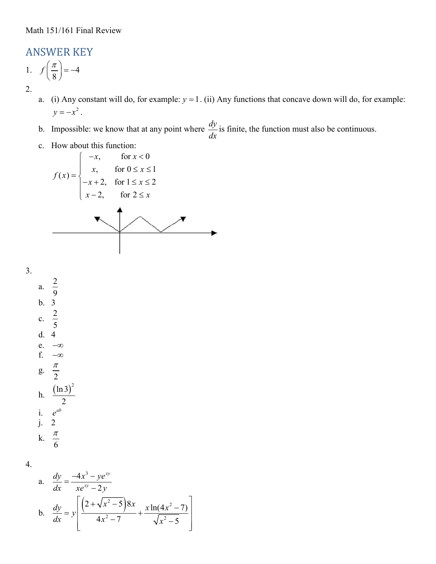## ANSWER KEY

1. 
$$
f\left(\frac{\pi}{8}\right) = -4
$$
  
2.

- a. (i) Any constant will do, for example:  $y = 1$ . (ii) Any functions that concave down will do, for example:  $y = -x^2$ .
- b. Impossible: we know that at any point where  $\frac{dy}{dx}$  is finite, the function must also be continuous.
- c. How about this function:

$$
f(x) = \begin{cases} -x, & \text{for } x < 0 \\ x, & \text{for } 0 \le x \le 1 \\ -x + 2, & \text{for } 1 \le x \le 2 \\ x - 2, & \text{for } 2 \le x \end{cases}
$$

3.

a. 9 b. 3 c. 2 5 d. 4 e.  $-\infty$ <br>f.  $-\infty$ f. −∞ g.  $\frac{\pi}{2}$ h.  $\frac{(\ln 3)^2}{2}$ 2 i. *ab e* j. 2 k. 6 π

2

4.

a. 
$$
\frac{dy}{dx} = \frac{-4x^3 - ye^{xy}}{xe^{xy} - 2y}
$$
  
\nb. 
$$
\frac{dy}{dx} = y \left[ \frac{\left(2 + \sqrt{x^2 - 5}\right)8x}{4x^2 - 7} + \frac{x \ln(4x^2 - 7)}{\sqrt{x^2 - 5}} \right]
$$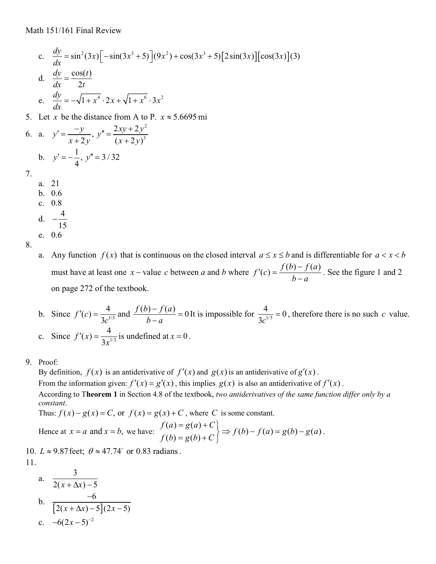c. 
$$
\frac{dy}{dx} = \sin^2(3x) \left[ -\sin(3x^3 + 5) \right] (9x^2) + \cos(3x^3 + 5) \left[ 2\sin(3x) \right] [\cos(3x)] (3)
$$
  
d.  $\frac{dy}{dx} = \frac{\cos(t)}{2t}$   
e.  $\frac{dy}{dx} = -\sqrt{1 + x^4} \cdot 2x + \sqrt{1 + x^6} \cdot 3x^2$ 

5. Let *x* be the distance from A to P.  $x \approx 5.6695$  mi

6. a. 
$$
y' = \frac{-y}{x + 2y}, y'' = \frac{2xy + 2y^2}{(x + 2y)^3}
$$
  
b.  $y' = -\frac{1}{4}, y'' = 3/32$ 

- 7.
- a. 21
- b. 0.6 c. 0.8
- d.  $-\frac{4}{16}$ −
- 15 e. 0.6
- 8.

a. Any function  $f(x)$  that is continuous on the closed interval  $a \le x \le b$  and is differentiable for  $a < x < b$ must have at least one *x* − value *c* between *a* and *b* where  $f'(c) = \frac{f(b) - f(a)}{b - a}$ . See the figure 1 and 2 on page 272 of the textbook.

- b. Since  $f'(c) = \frac{4}{3c^{1/3}}$  and  $\frac{f(b) f(a)}{b a} = 0$  It is impossible for  $\frac{4}{3c^{1/3}} = 0$ , therefore there is no such *c* value. c. Since  $f'(x) = \frac{4}{3x^{1/3}}$  is undefined at  $x = 0$ .
- 9. Proof:

By definition,  $f(x)$  is an antiderivative of  $f'(x)$  and  $g(x)$  is an antiderivative of  $g'(x)$ . From the information given:  $f'(x) = g'(x)$ , this implies  $g(x)$  is also an antiderivative of  $f'(x)$ . According to T**heorem 1** in Section 4.8 of the textbook, *two antiderivatives of the same function differ only by a constant*.

Thus:  $f(x) - g(x) = C$ , or  $f(x) = g(x) + C$ , where *C* is some constant.

Hence at 
$$
x = a
$$
 and  $x = b$ , we have: 
$$
\begin{cases} f(a) = g(a) + C \\ f(b) = g(b) + C \end{cases} \Rightarrow f(b) - f(a) = g(b) - g(a).
$$

10.  $L \approx 9.87$  feet;  $\theta \approx 47.74^{\circ}$  or 0.83 radians. 11.

a. 
$$
\frac{3}{2(x + \Delta x) - 5}
$$
  
\nb. 
$$
\frac{-6}{[2(x + \Delta x) - 5](2x - 5)}
$$
  
\nc. 
$$
-6(2x - 5)^{-2}
$$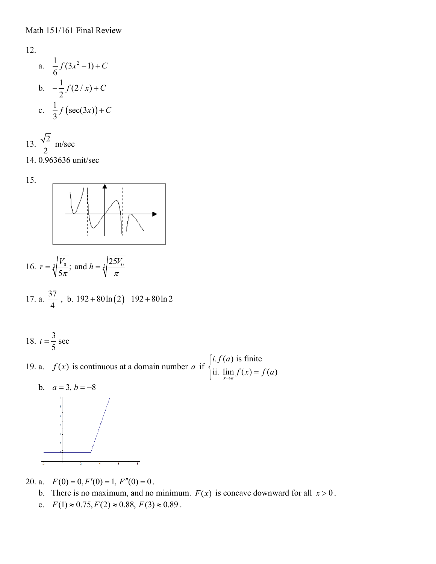12.  
\na. 
$$
\frac{1}{6}f(3x^2+1)+C
$$
  
\nb.  $-\frac{1}{2}f(2/x)+C$   
\nc.  $\frac{1}{3}f(\sec(3x))+C$ 

13. 
$$
\frac{\sqrt{2}}{2}
$$
 m/sec  
14. 0.963636 unit/sec



16. 
$$
r = \sqrt[3]{\frac{V_0}{5\pi}}
$$
; and  $h = \sqrt[3]{\frac{25V_0}{\pi}}$ 

17. a. 
$$
\frac{37}{4}
$$
, b.  $192 + 80 \ln(2)$  192 + 80 ln 2

18.  $t = \frac{3}{5}$  sec 5  $t =$ 

19. a.  $f(x)$  is continuous at a domain number *a* if  $\begin{cases} i.f(a) \text{ is finite} \\ ii \text{ is } f(x) \end{cases}$ ii.  $\lim_{x \to a} f(x) = f(a)$  $i.f(a$  $\lim_{x \to a} f(x) = f(a)$  $\int$ ii.  $\lim_{x\to a} f(x) =$ 



20. a.  $F(0) = 0, F'(0) = 1, F''(0) = 0$ .

b. There is no maximum, and no minimum.  $F(x)$  is concave downward for all  $x > 0$ .

c.  $F(1) \approx 0.75, F(2) \approx 0.88, F(3) \approx 0.89$ .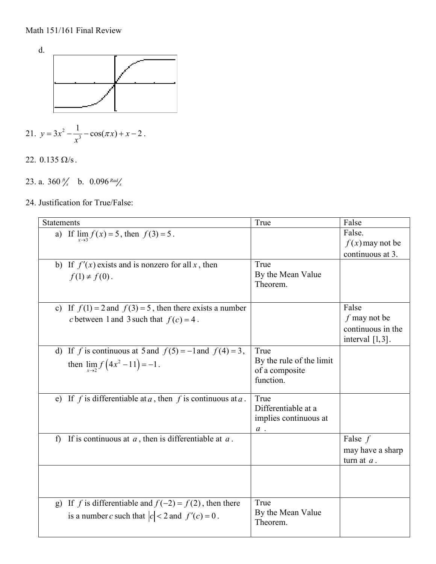

- 21.  $y = 3x^2 \frac{1}{x^3}$  $y = 3x^2 - \frac{1}{x^3} - \cos(\pi x) + x - 2$ *x*  $= 3x^2 - \frac{1}{3} - \cos(\pi x) + x - 2$ .
- 22.  $0.135 \Omega/s$ .
- 23. a.  $360 \frac{ft}{s}$  b.  $0.096$  *Rad*<sub>s</sub>
- 24. Justification for True/False:

| Statements                                                               | True                     | False              |
|--------------------------------------------------------------------------|--------------------------|--------------------|
| a) If $\lim_{x \to 3} f(x) = 5$ , then $f(3) = 5$ .                      |                          | False.             |
|                                                                          |                          | $f(x)$ may not be  |
|                                                                          |                          | continuous at 3.   |
| b) If $f'(x)$ exists and is nonzero for all x, then                      | True                     |                    |
| $f(1) \neq f(0)$ .                                                       | By the Mean Value        |                    |
|                                                                          | Theorem.                 |                    |
|                                                                          |                          |                    |
| c) If $f(1) = 2$ and $f(3) = 5$ , then there exists a number             |                          | False              |
|                                                                          |                          | $f$ may not be     |
| c between 1 and 3 such that $f(c) = 4$ .                                 |                          |                    |
|                                                                          |                          | continuous in the  |
|                                                                          |                          | interval $[1,3]$ . |
| d) If f is continuous at 5 and $f(5) = -1$ and $f(4) = 3$ ,              | True                     |                    |
| then $\lim_{x \to 2} f(4x^2 - 11) = -1$ .                                | By the rule of the limit |                    |
|                                                                          | of a composite           |                    |
|                                                                          | function.                |                    |
|                                                                          |                          |                    |
| e) If f is differentiable at a, then f is continuous at a.               | True                     |                    |
|                                                                          | Differentiable at a      |                    |
|                                                                          | implies continuous at    |                    |
|                                                                          | $a$ .                    |                    |
| If is continuous at $a$ , then is differentiable at $a$ .<br>$\mathbf f$ |                          | False $f$          |
|                                                                          |                          | may have a sharp   |
|                                                                          |                          | turn at $a$ .      |
|                                                                          |                          |                    |
|                                                                          |                          |                    |
|                                                                          |                          |                    |
| g) If f is differentiable and $f(-2) = f(2)$ , then there                | True                     |                    |
| is a number c such that $ c  < 2$ and $f'(c) = 0$ .                      | By the Mean Value        |                    |
|                                                                          | Theorem.                 |                    |
|                                                                          |                          |                    |